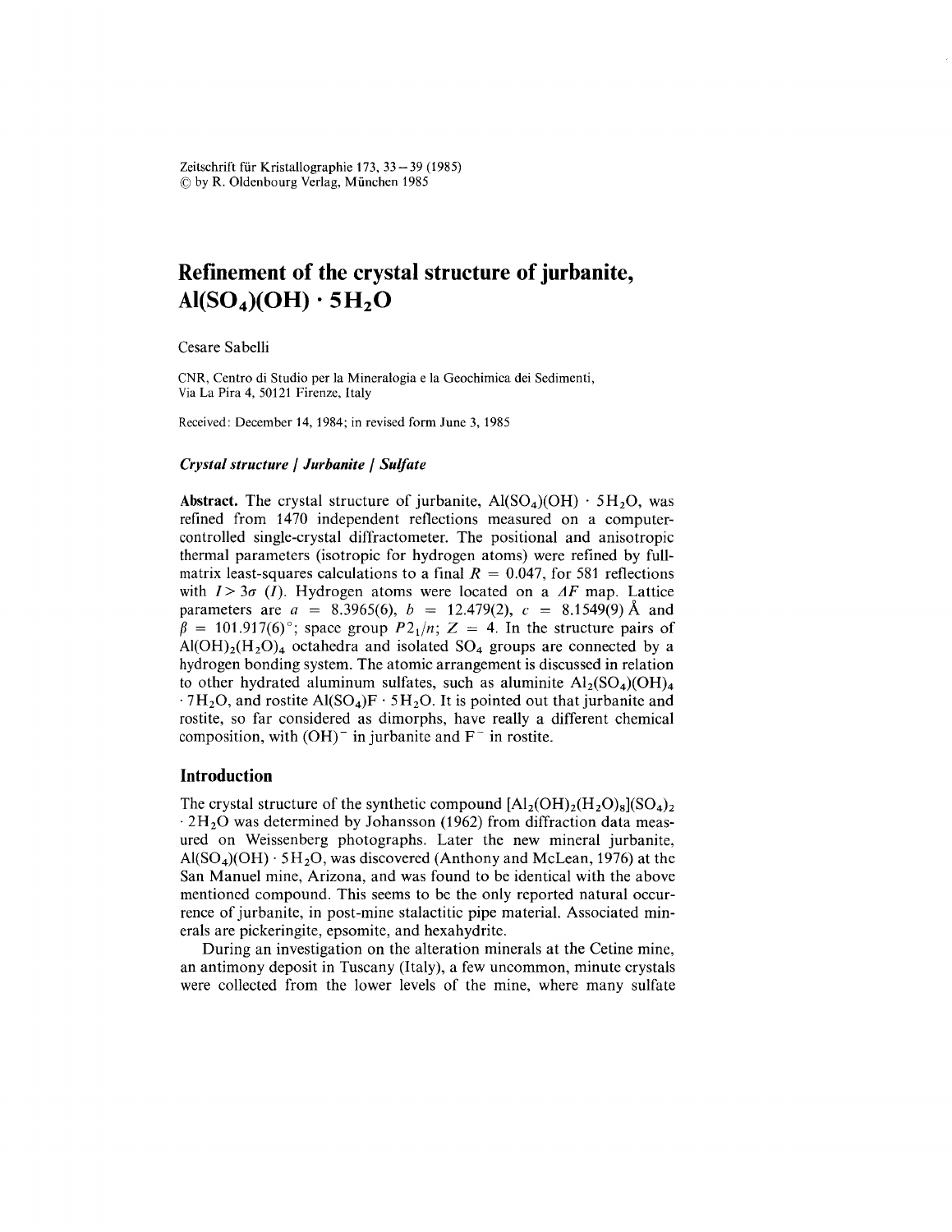Zeitschrift für Kristallographie 173, 33 – 39 (1985)  $\circledcirc$  by R. Oldenbourg Verlag, München 1985

# **Refinement oí the crystal structure oí jurbanite,**  $AI(SO<sub>4</sub>)(OH) \cdot 5H<sub>2</sub>O$

Cesare Sabelli

CNR, Centro di Studio per la Mineralogia e la Geochimica dei Sedimenti, Via La Pira 4, 50121 Firenze, Italy

Received: December 14, 1984; in revised form June 3,1985

#### *Crystal structure* / *Jurbanite* / *Sulfate*

Abstract. The crystal structure of jurbanite,  $Al(SO<sub>4</sub>)(OH) \cdot 5H<sub>2</sub>O$ , was refined from 1470 independent retlections measured on a computercontrolled single-crystal diffractometer. The positional and anisotropic thermal parameters (isotropic for hydrogen atoms) were refined by fullmatrix least-squares calculations to a final  $R = 0.047$ , for 581 reflections with  $I > 3\sigma$  (*I*). Hydrogen atoms were located on a  $\Delta F$  map. Lattice parameters are  $a = 8.3965(6)$ ,  $b = 12.479(2)$ ,  $c = 8.1549(9)$  Å and  $\beta = 101.917(6)$ °; space group  $P2_1/n$ ;  $Z = 4$ . In the structure pairs of  $Al(OH)<sub>2</sub>(H<sub>2</sub>O)<sub>4</sub>$  octahedra and isolated SO<sub>4</sub> groups are connected by a hydrogen bonding system. The atomic arrangement is discussed in relation to other hydrated aluminum sulfates, such as aluminite  $Al_2(SO_4)(OH)_4$  $.7H<sub>2</sub>O$ , and rostite Al(SO<sub>4</sub>)F  $.5H<sub>2</sub>O$ . It is pointed out that jurbanite and rostite, so far considered as dimorphs, have really a different chemical composition, with  $(OH)^-$  in jurbanite and  $F^-$  in rostite.

## **Introduction**

The crystal structure of the synthetic compound  $[Al_2(OH)_2(H_2O)_8](SO_4)_2$  $\cdot$  2H<sub>2</sub>O was determined by Johansson (1962) from diffraction data measured on Weissenberg photographs. Later the new mineral jurbanite,  $Al(SO<sub>4</sub>)(OH) \cdot 5H<sub>2</sub>O$ , was discovered (Anthony and McLean, 1976) at the San Manuel mine, Arizona, and was found to be identical with the above mentioned compound. This seems to be the only reported natural occurrence of jurbanite, in post-mine stalactitic pipe material. Associated minerais are pickeringite, epsomite, and hexahydrite.

During an investigation on the alteration minerals at the Cetine mine, an antimony deposit in Tuscany (Italy), a few uncommon, minute crystals were collected from the lower levels of the mine, where many sulfate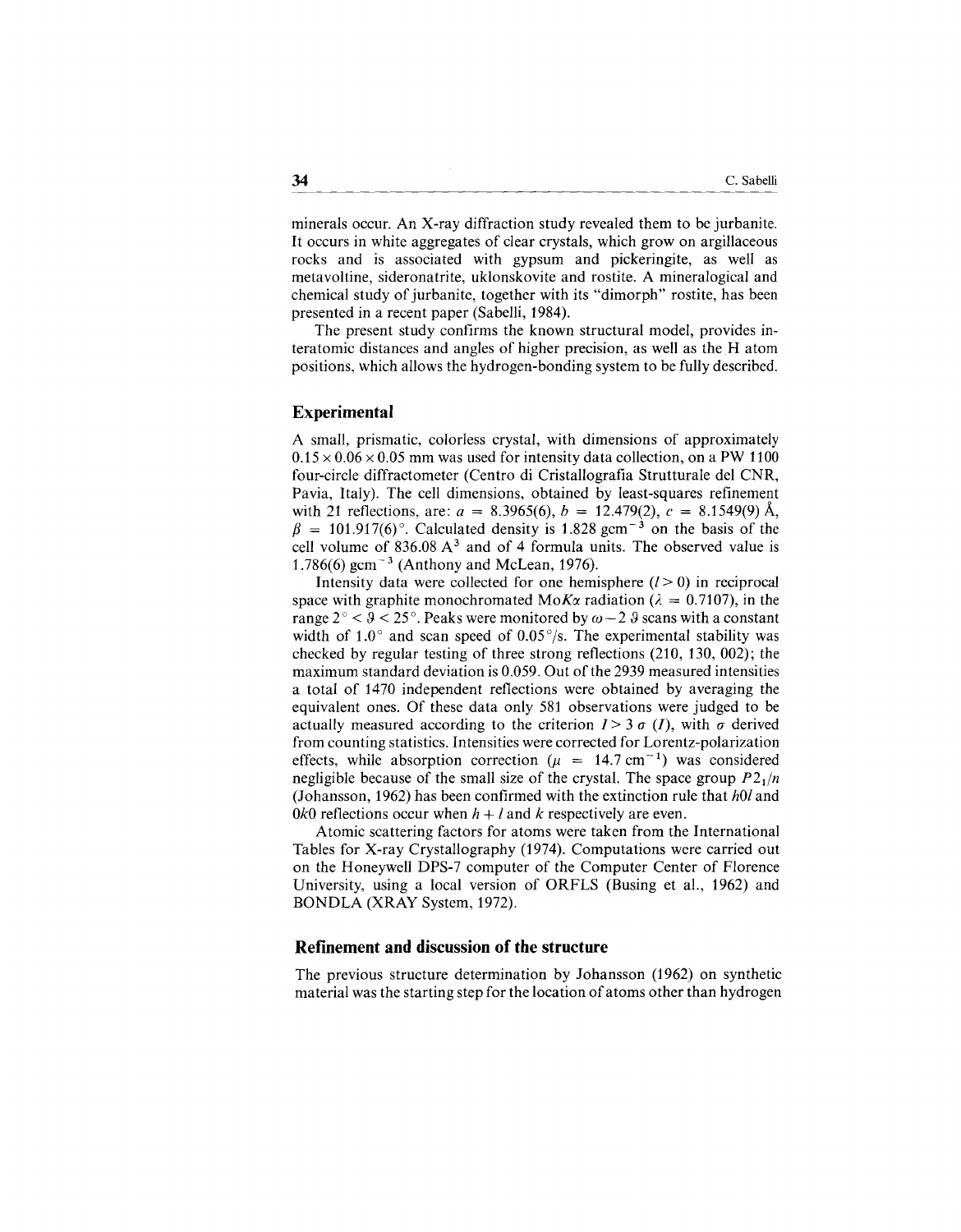minerals occur. An X-ray diffraction study revealed them to be jurbanite. It occurs in white aggregates of clear crystals, which grow on argillaceous rocks and is associated with gypsum and pickeringite, as well as metavoltine, sideronatrite, uklonskovite and rostite. A mineralogical and chemical study of jurbanite, together with its "dimorph" rostite, has been presented in a recent paper (Sabelli, 1984).

The present study confirms the known structural model, provides interatomic distances and angles of higher precision, as well as the H atom positions, which allows the hydrogen-bonding system to be fully described.

## **Experimental**

A small, prismatic, colorless crystal, with dimensions of approximately  $0.15 \times 0.06 \times 0.05$  mm was used for intensity data collection, on a PW 1100 four-circle diffractometer (Centro di Cristallografia Strutturale del CNR, Pavia, Italy). The cell dimensions, obtained by least-squares refinement with 21 reflections, are:  $a = 8.3965(6)$ ,  $b = 12.479(2)$ ,  $c = 8.1549(9)$  Å,  $\beta = 101.917(6)$ °. Calculated density is 1.828 gcm<sup>-3</sup> on the basis of the cell volume of  $836.08 \text{ A}^3$  and of 4 formula units. The observed value is 1.786(6)  $\text{gcm}^{-3}$  (Anthony and McLean, 1976).

Intensity data were collected for one hemisphere  $(l>0)$  in reciprocal space with graphite monochromated  $M \circ K \alpha$  radiation ( $\lambda = 0.7107$ ), in the range  $2^{\circ} < \sqrt{9} < 25^{\circ}$ . Peaks were monitored by  $\omega - 2.9$  scans with a constant width of 1.0 $\degree$  and scan speed of 0.05 $\degree$ /s. The experimental stability was checked by regular testing of three strong reflections (210, 130, 002); the maximum standard deviation is 0.059. Out of the 2939 measured intensities a total of 1470 independent reflections were obtained by averaging the equivalent ones. Of these data only 581 observations were judged to be actually measured according to the criterion  $I > 3 \sigma (I)$ , with  $\sigma$  derived from counting statistics. Intensities were corrected for Lorentz-polarization effects, while absorption correction ( $\mu = 14.7$  cm<sup>-1</sup>) was considered negligible because of the small size of the crystal. The space group  $P2<sub>1</sub>/n$ (Johansson, 1962) has been confirmed with the extinction ru1e that *hOl* and *OkO* reflections occur when  $h + l$  and  $k$  respectively are even.

Atomic scattering factors for atoms were taken from the International Tables for X-ray Crystallography (1974). Computations were carried out on the Honeywell DPS-7 computer of the Computer Center of Florence University, using a local version of ORFLS (Busing et al., 1962) and BONDLA (XRAY System, 1972).

## **Refinement and discussion of the structure**

The previous structure determination by Johansson (1962) on synthetic material was the starting step for the location of atoms other than hydrogen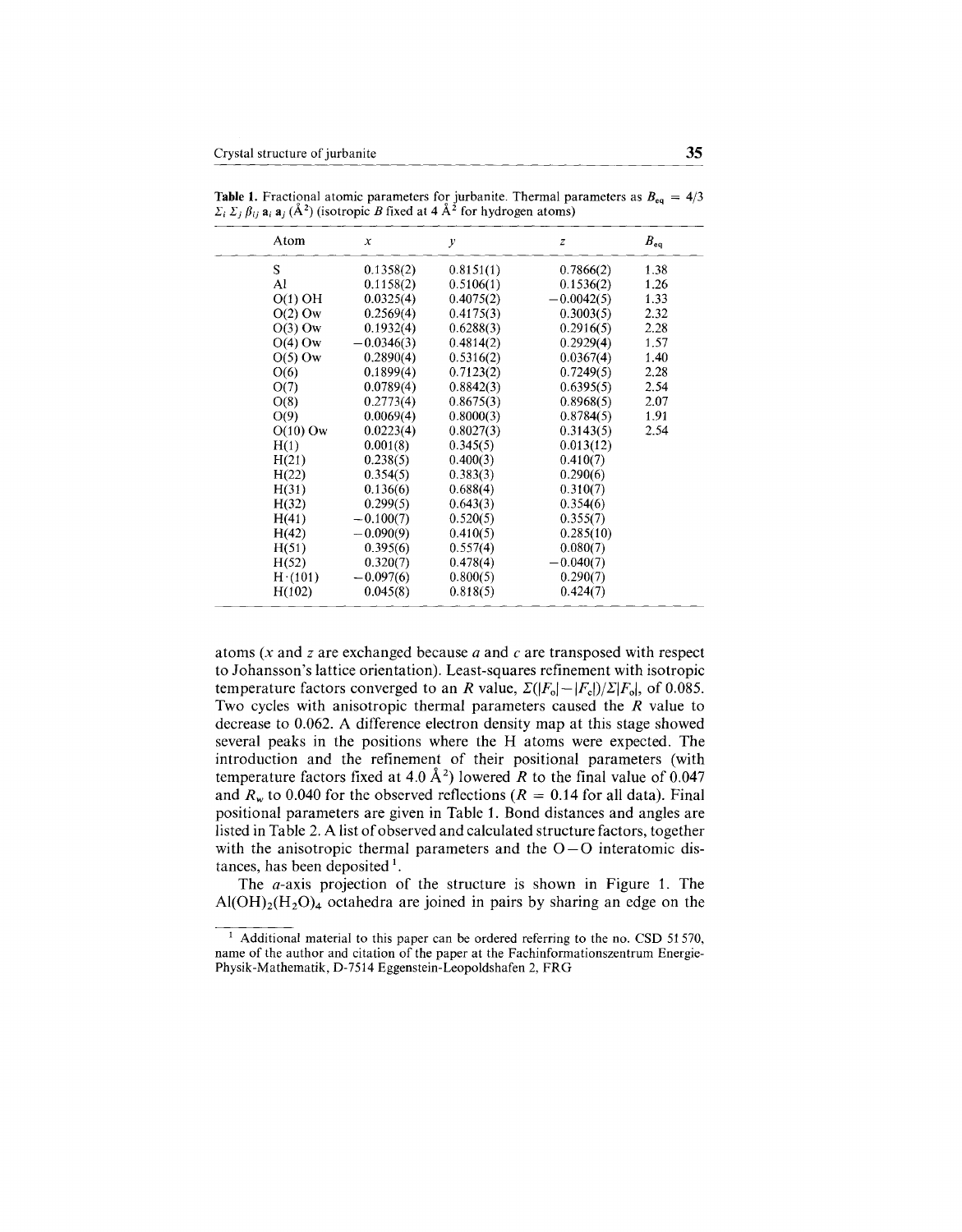| Atom       | $\boldsymbol{x}$ | у         | z            | $B_{eq}$ |
|------------|------------------|-----------|--------------|----------|
| S          | 0.1358(2)        | 0.8151(1) | 0.7866(2)    | 1.38     |
| Al         | 0.1158(2)        | 0.5106(1) | 0.1536(2)    | 1.26     |
| $O(1)$ OH  | 0.0325(4)        | 0.4075(2) | $-0.0042(5)$ | 1.33     |
| $O(2)$ Ow  | 0.2569(4)        | 0.4175(3) | 0.3003(5)    | 2.32     |
| $O(3)$ Ow  | 0.1932(4)        | 0.6288(3) | 0.2916(5)    | 2.28     |
| $O(4)$ Ow  | $-0.0346(3)$     | 0.4814(2) | 0.2929(4)    | 1.57     |
| $O(5)$ Ow  | 0.2890(4)        | 0.5316(2) | 0.0367(4)    | 1.40     |
| O(6)       | 0.1899(4)        | 0.7123(2) | 0.7249(5)    | 2.28     |
| O(7)       | 0.0789(4)        | 0.8842(3) | 0.6395(5)    | 2.54     |
| O(8)       | 0.2773(4)        | 0.8675(3) | 0.8968(5)    | 2.07     |
| O(9)       | 0.0069(4)        | 0.8000(3) | 0.8784(5)    | 1.91     |
| $O(10)$ Ow | 0.0223(4)        | 0.8027(3) | 0.3143(5)    | 2.54     |
| H(1)       | 0.001(8)         | 0.345(5)  | 0.013(12)    |          |
| H(21)      | 0.238(5)         | 0.400(3)  | 0.410(7)     |          |
| H(22)      | 0.354(5)         | 0.383(3)  | 0.290(6)     |          |
| H(31)      | 0.136(6)         | 0.688(4)  | 0.310(7)     |          |
| H(32)      | 0.299(5)         | 0.643(3)  | 0.354(6)     |          |
| H(41)      | $-0.100(7)$      | 0.520(5)  | 0.355(7)     |          |
| H(42)      | $-0.090(9)$      | 0.410(5)  | 0.285(10)    |          |
| H(51)      | 0.395(6)         | 0.557(4)  | 0.080(7)     |          |
| H(52)      | 0.320(7)         | 0.478(4)  | $-0.040(7)$  |          |
| H(101)     | $-0.097(6)$      | 0.800(5)  | 0.290(7)     |          |
| H(102)     | 0.045(8)         | 0.818(5)  | 0.424(7)     |          |

**Table 1.** Fractional atomic parameters for jurbanite. Thermal parameters as  $B_{eq} = 4/3$ <br> $\Sigma_i \Sigma_j \beta_{ij}$  **a**<sub>i</sub> **a**<sub>i</sub> (Å<sup>2</sup>) (isotropic *B* fixed at 4 Å<sup>2</sup> for hydrogen atoms)

atoms *(x* and *z* are exchanged because *a* and e are transposed with respect to 10hansson's lattice orientation). Least-squares refinement with isotropic temperature factors converged to an *R* value,  $\Sigma(|F_o|-|F_c|)/\Sigma|F_o|$ , of 0.085. Two cycles with anisotropic thermal parameters caused the *R* value to decrease to 0.062. A difference electron density map at this stage showed several peaks in the positions where the H atoms were expected. The introduction and the refinement of their positional parameters (with temperature factors fixed at 4.0  $\AA$ <sup>2</sup>) lowered *R* to the final value of 0.047 and  $R_w$  to 0.040 for the observed reflections ( $R = 0.14$  for all data). Final positional parameters are given in Table 1. Bond distances and angles are listed in Table 2. A list of observed and calculated structure factors, together with the anisotropic thermal parameters and the  $O-O$  interatomic distances, has been deposited  $<sup>1</sup>$ .</sup>

The a-axis projection of the structure is shown in Figure 1. The  $Al(OH)_{2}(H_{2}O)_{4}$  octahedra are joined in pairs by sharing an edge on the

<sup>&</sup>lt;sup>1</sup> Additional material to this paper can be ordered referring to the no. CSD 51570, name of the author and citation of the paper at the Fachinformationszentrum Energie-Physik-Mathematik, D-7514 Eggenstein-Leopoldshafen 2, FRG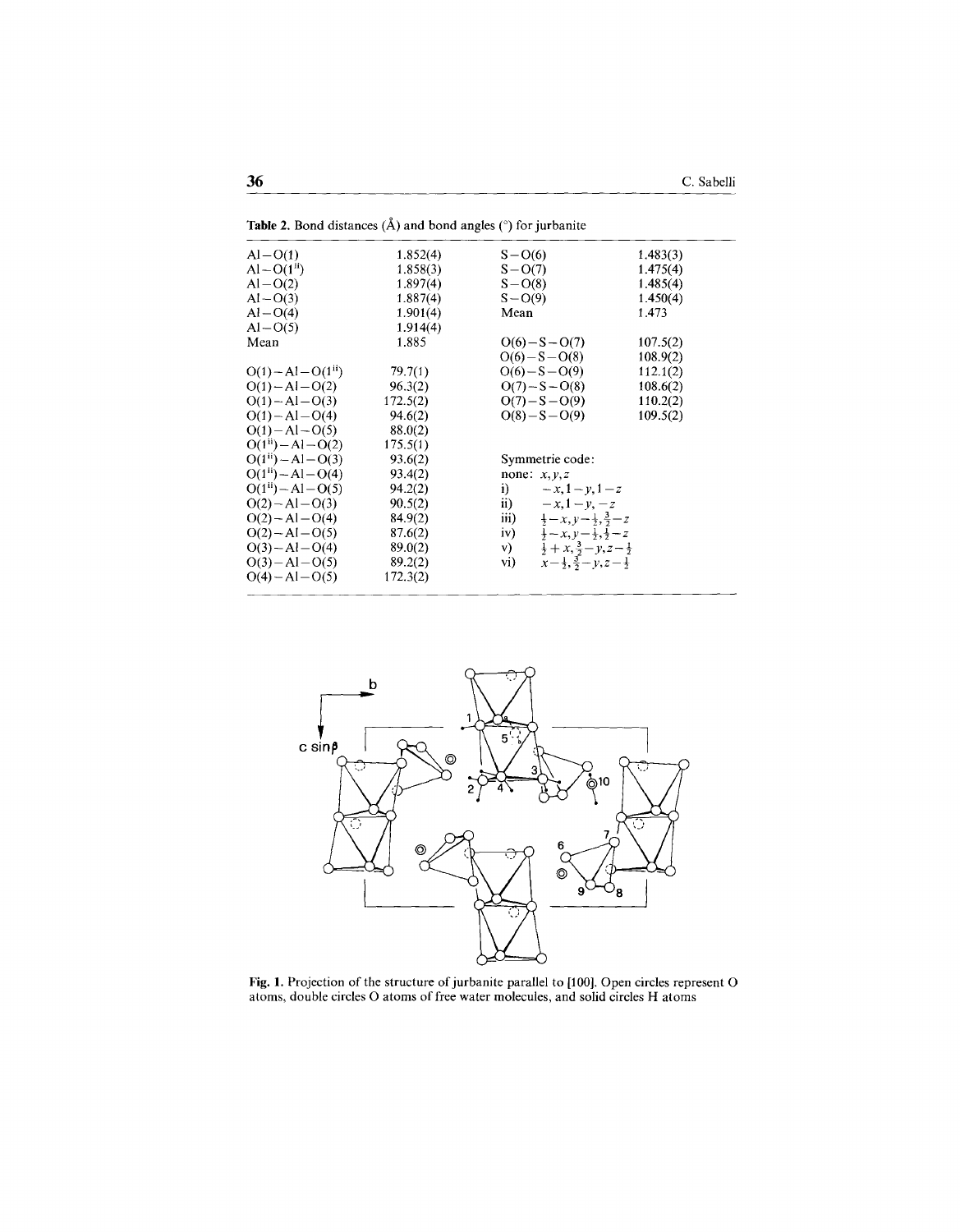| $Al-O(1)$               | 1.852(4) | $S - O(6)$                                                                 | 1.483(3) |
|-------------------------|----------|----------------------------------------------------------------------------|----------|
| $Al-O(1^{ii})$          | 1.858(3) | $S - O(7)$                                                                 | 1.475(4) |
| $Al-O(2)$               | 1.897(4) | $S - O(8)$                                                                 | 1.485(4) |
| $Al-O(3)$               | 1.887(4) | $S - O(9)$                                                                 | 1.450(4) |
| $Al-O(4)$               | 1.901(4) | Mean                                                                       | 1.473    |
| $Al - O(5)$             | 1.914(4) |                                                                            |          |
| Mean                    | 1.885    | $O(6)-S-O(7)$                                                              | 107.5(2) |
|                         |          | $O(6) - S - O(8)$                                                          | 108.9(2) |
| $O(1) - Al - O(1u)$     | 79.7(1)  | $O(6) - S - O(9)$                                                          | 112.1(2) |
| $O(1) - Al - O(2)$      | 96.3(2)  | $O(7) - S - O(8)$                                                          | 108.6(2) |
| $O(1) - Al - O(3)$      | 172.5(2) | $O(7) - S - O(9)$                                                          | 110.2(2) |
| $O(1) - Al - O(4)$      | 94.6(2)  | $O(8) - S - O(9)$                                                          | 109.5(2) |
| $O(1) - Al - O(5)$      | 88.0(2)  |                                                                            |          |
| $O(1^{ii}) - Al - O(2)$ | 175.5(1) |                                                                            |          |
| $O(1^{ii}) - Al - O(3)$ | 93.6(2)  | Symmetrie code:                                                            |          |
| $O(1^{11}) - Al - O(4)$ | 93.4(2)  | none: $x, y, z$                                                            |          |
| $O(1^{ii}) - Al - O(5)$ | 94.2(2)  | i)<br>$-x, 1 - y, 1 - z$                                                   |          |
| $O(2) - Al - O(3)$      | 90.5(2)  | $\mathbf{ii}$ )<br>$-x, 1 - y, -z$                                         |          |
| $O(2) - Al - O(4)$      | 84.9(2)  | iii)<br>$\frac{1}{2} - x, y - \frac{1}{2}, \frac{3}{2} - z$                |          |
| $O(2) - Al - O(5)$      | 87.6(2)  | $\frac{1}{2} - x, y - \frac{1}{2}, \frac{1}{2} - z$<br>iv)                 |          |
| $O(3) - Al - O(4)$      | 89.0(2)  | $\frac{1}{2} + x$ , $\frac{3}{2} - y$ , $z - \frac{1}{2}$<br>$\mathbf{v})$ |          |
| $O(3) - Al - O(5)$      | 89.2(2)  | $x-\frac{1}{2},\frac{3}{2}-y,z-\frac{1}{2}$<br>vi)                         |          |
| $O(4) - Al - O(5)$      | 172.3(2) |                                                                            |          |
|                         |          |                                                                            |          |

Table 2. Bond distances  $(\hat{A})$  and bond angles ( $\degree$ ) for jurbanite



Fig. 1. Projection of the structure of jurbanite parallel to [100]. Open circles represent O atoms, double circles O atoms of free water molecules, and solid circles H atoms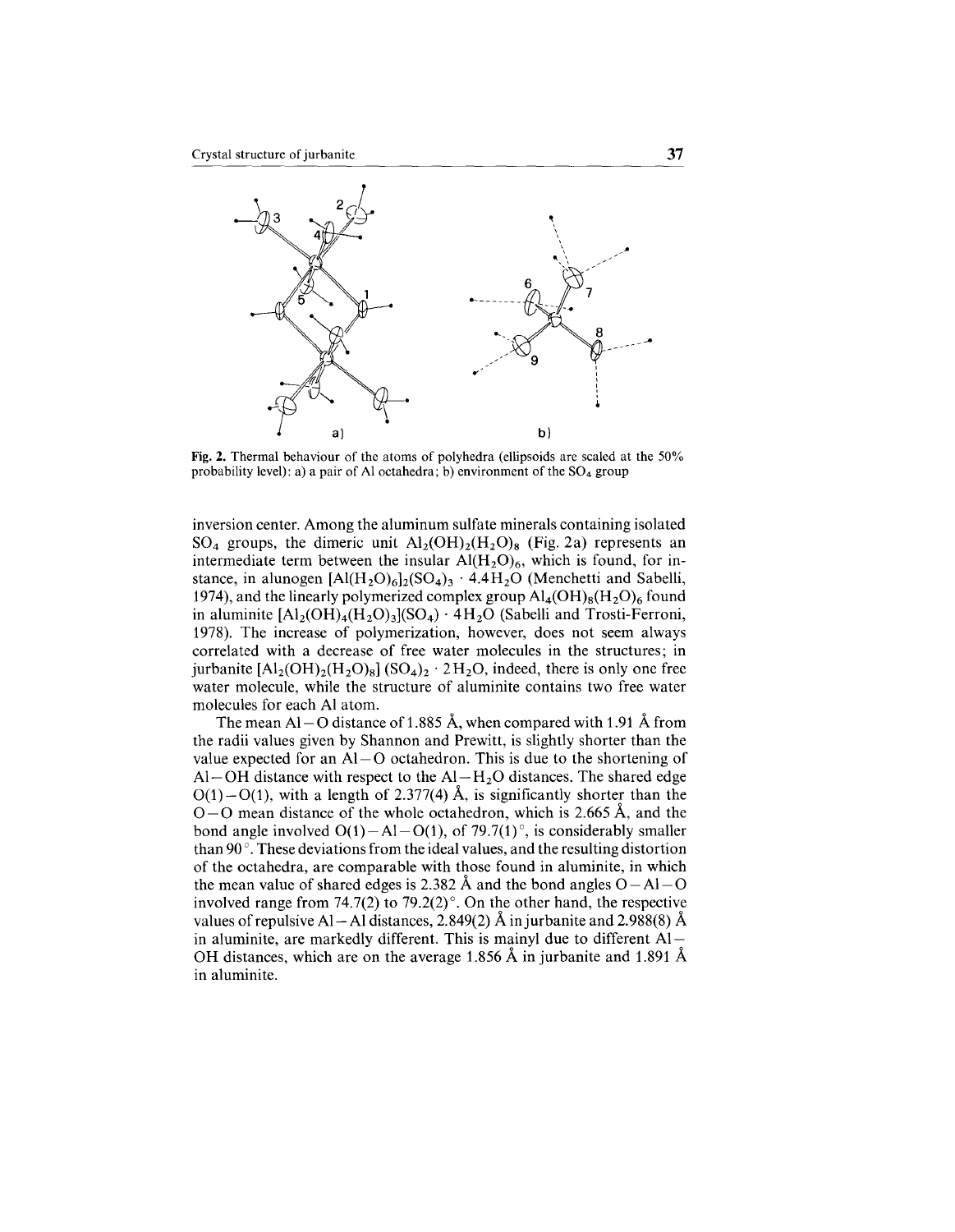

Fig. 2. Thermal behaviour of the atoms of polyhedra (ellipsoids are scaled at the 50% probability level): a) a pair of Al octahedra; b) environment of the  $SO_4$  group

inversion center. Among the aluminum sulfate minerals containing isolated  $SO_4$  groups, the dimeric unit  $Al_2(OH)_2(H_2O)_8$  (Fig. 2a) represents an intermediate term between the insular  $Al(H<sub>2</sub>O)<sub>6</sub>$ , which is found, for instance, in alunogen  $\left[A\right](H_2O)_6\left[2\left(SO_4\right)_3\right]$  . 4.4 $H_2O$  (Menchetti and Sabelli, 1974), and the linearly polymerized complex group  $\text{Al}_4(\text{OH})_8(\text{H}_2\text{O})_6$  found in aluminite  $[A]_2(OH)_4(H_2O)_3(SO_4) \cdot 4H_2O$  (Sabelli and Trosti-Ferroni, 1978). The increase of polymerization, however, does not seem always correlated with a decrease of free water molecules in the structures; in jurbanite  $[A_2(OH)_2(H_2O)_8]$  (SO<sub>4</sub>)<sub>2</sub> · 2H<sub>2</sub>O, indeed, there is only one free water molecule, while the structure of aluminite contains two free water molecules for each Al atom.

The mean Al – O distance of 1.885 Å, when compared with 1.91 Å from the radii values given by Shannon and Prewitt, is slightly shorter than the value expected for an  $Al-O$  octahedron. This is due to the shortening of Al-OH distance with respect to the  $Al-H<sub>2</sub>O$  distances. The shared edge  $O(1)-O(1)$ , with a length of 2.377(4) Å, is significantly shorter than the  $O-O$  mean distance of the whole octahedron, which is 2.665 Å, and the bond angle involved  $O(1) - Al - O(1)$ , of 79.7(1)°, is considerably smaller than 90 $^{\circ}$ . These deviations from the ideal values, and the resulting distortion of the octahedra, are comparable with those found in aluminite, in which the mean value of shared edges is 2.382 Å and the bond angles  $O - Al - O$ involved range from 74.7(2) to 79.2(2) $^{\circ}$ . On the other hand, the respective values of repulsive Al-Al distances, 2.849(2) Å in jurbanite and 2.988(8) Å in aluminite, are markedly different. This is mainyl due to different Al-OH distances, which are on the average 1.856 Á in jurbanite and 1.891 Á in aluminite.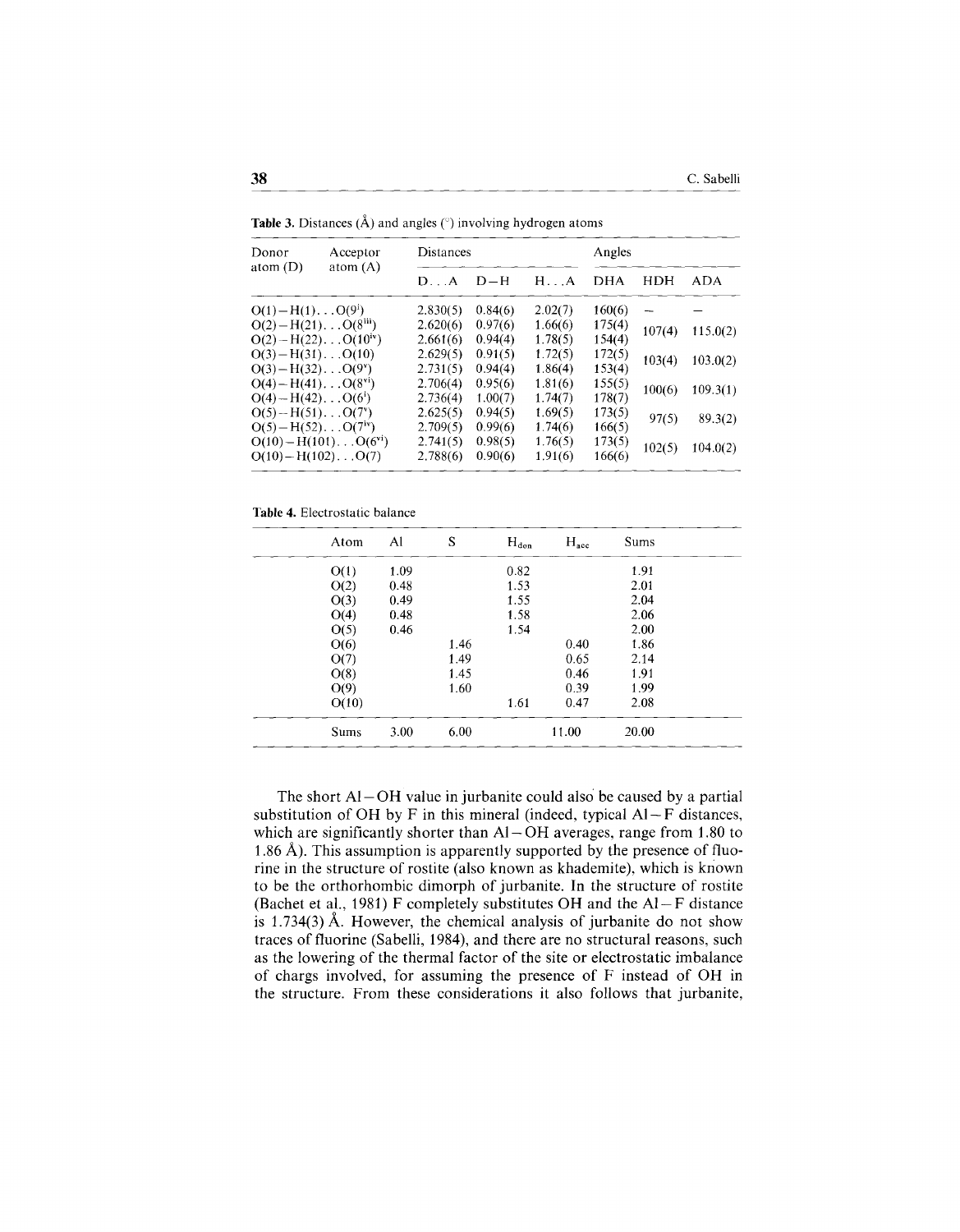| Acceptor<br>Donor<br>atom $(A)$<br>atom $(D)$                       |                                   | Distances |         |              | Angles     |        |            |
|---------------------------------------------------------------------|-----------------------------------|-----------|---------|--------------|------------|--------|------------|
|                                                                     |                                   | D. A      | $D-H$   | $H \ldots A$ | <b>DHA</b> | HDH    | <b>ADA</b> |
| $O(1) - H(1) \dots O(9^i)$                                          |                                   | 2,830(5)  | 0.84(6) | 2.02(7)      | 160(6)     |        |            |
| $O(2) - H(21) \ldots O(8^{111})$<br>$O(2) - H(22) \dots O(10^{10})$ |                                   | 2.620(6)  | 0.97(6) | 1.66(6)      | 175(4)     | 107(4) | 115.0(2)   |
|                                                                     |                                   | 2,661(6)  | 0.94(4) | 1.78(5)      | 154(4)     |        |            |
| $O(3) - H(31) \dots O(10)$                                          |                                   | 2.629(5)  | 0.91(5) | 1.72(5)      | 172(5)     | 103(4) | 103.0(2)   |
| $O(3) - H(32) \dots O(9^{\nu})$                                     |                                   | 2.731(5)  | 0.94(4) | 1.86(4)      | 153(4)     |        |            |
| $O(4) - H(41)$ $O(8^{vi})$                                          |                                   | 2.706(4)  | 0.95(6) | 1.81(6)      | 155(5)     |        |            |
| $O(4) - H(42)$ $O(6^i)$                                             |                                   | 2.736(4)  | 1.00(7) | 1.74(7)      | 178(7)     | 100(6) | 109.3(1)   |
| $O(5) - H(51) \dots O(7^v)$                                         |                                   | 2.625(5)  | 0.94(5) | 1.69(5)      | 173(5)     |        |            |
| $O(5) - H(52) \dots O(7iv)$                                         |                                   | 2.709(5)  | 0.99(6) | 1.74(6)      | 166(5)     | 97(5)  | 89.3(2)    |
|                                                                     | $O(10) - H(101) \dots O(6^{v_1})$ | 2.741(5)  | 0.98(5) | 1.76(5)      | 173(5)     |        |            |
| $O(10) - H(102)$ $O(7)$                                             |                                   | 2,788(6)  | 0.90(6) | 1.91(6)      | 166(6)     | 102(5) | 104.0(2)   |

**Table 3.** Distances (A) and angles  $(\degree)$  involving hydrogen atom

Table 4. Electrostatic balance

| Atom        | Al   | S    | $H_{don}$ | $H_{\text{acc}}$ | Sums  |  |
|-------------|------|------|-----------|------------------|-------|--|
| O(1)        | 1.09 |      | 0.82      |                  | 1.91  |  |
| O(2)        | 0.48 |      | 1.53      |                  | 2.01  |  |
| O(3)        | 0.49 |      | 1.55      |                  | 2.04  |  |
| O(4)        | 0.48 |      | 1.58      |                  | 2.06  |  |
| O(5)        | 0.46 |      | 1.54      |                  | 2.00  |  |
| O(6)        |      | 1.46 |           | 0.40             | 1.86  |  |
| O(7)        |      | 1.49 |           | 0.65             | 2.14  |  |
| O(8)        |      | 1.45 |           | 0.46             | 1.91  |  |
| O(9)        |      | 1.60 |           | 0.39             | 1.99  |  |
| O(10)       |      |      | 1.61      | 0.47             | 2.08  |  |
| <b>Sums</b> | 3.00 | 6.00 |           | 11.00            | 20.00 |  |

The short  $AI-OH$  value in jurbanite could also be caused by a partial substitution of OH by F in this mineral (indeed, typical  $AI-F$  distances, which are significantly shorter than  $AI-OH$  averages, range from 1.80 to 1.86 Å). This assumption is apparently supported by the presence of fluorine in the structure of rostite (also known as khademite), which is kriown to be the orthorhombic dimorph of jurbanite. In the structure of rostite (Bachet et al., 1981) F completely substitutes OH and the  $Al-F$  distance is 1.734(3) Á. However, the chemical analysis of jurbanite do not show traces of fluorine (Sabelli, 1984), and there are no structural reasons, such as the lowering of the thermal factor of the site or electrostatic imbalance of chargs involved, for assuming the presence of F instead of OH in the structure. From these considerations it also follows that jurbanite,